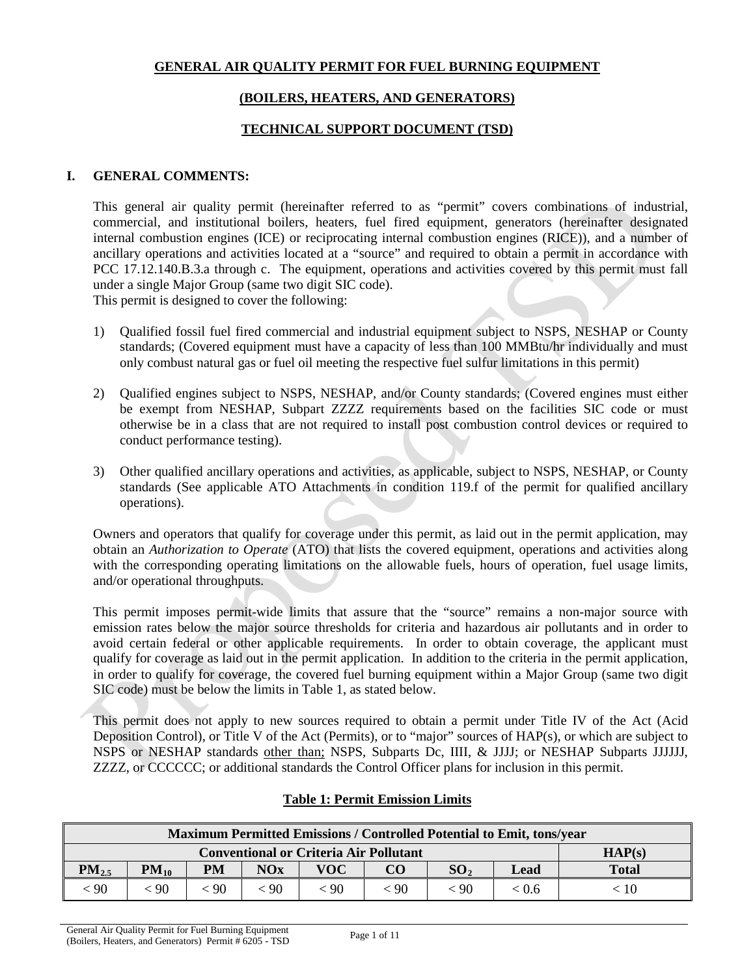## **GENERAL AIR QUALITY PERMIT FOR FUEL BURNING EQUIPMENT**

## **(BOILERS, HEATERS, AND GENERATORS)**

## **TECHNICAL SUPPORT DOCUMENT (TSD)**

### **I. GENERAL COMMENTS:**

This general air quality permit (hereinafter referred to as "permit" covers combinations of industrial, commercial, and institutional boilers, heaters, fuel fired equipment, generators (hereinafter designated internal combustion engines (ICE) or reciprocating internal combustion engines (RICE)), and a number of ancillary operations and activities located at a "source" and required to obtain a permit in accordance with PCC 17.12.140.B.3.a through c. The equipment, operations and activities covered by this permit must fall under a single Major Group (same two digit SIC code).

This permit is designed to cover the following:

- 1) Qualified fossil fuel fired commercial and industrial equipment subject to NSPS, NESHAP or County standards; (Covered equipment must have a capacity of less than 100 MMBtu/hr individually and must only combust natural gas or fuel oil meeting the respective fuel sulfur limitations in this permit)
- 2) Qualified engines subject to NSPS, NESHAP, and/or County standards; (Covered engines must either be exempt from NESHAP, Subpart ZZZZ requirements based on the facilities SIC code or must otherwise be in a class that are not required to install post combustion control devices or required to conduct performance testing).
- 3) Other qualified ancillary operations and activities, as applicable, subject to NSPS, NESHAP, or County standards (See applicable ATO Attachments in condition 119.f of the permit for qualified ancillary operations).

Owners and operators that qualify for coverage under this permit, as laid out in the permit application, may obtain an *Authorization to Operate* (ATO) that lists the covered equipment, operations and activities along with the corresponding operating limitations on the allowable fuels, hours of operation, fuel usage limits, and/or operational throughputs.

This permit imposes permit-wide limits that assure that the "source" remains a non-major source with emission rates below the major source thresholds for criteria and hazardous air pollutants and in order to avoid certain federal or other applicable requirements. In order to obtain coverage, the applicant must qualify for coverage as laid out in the permit application. In addition to the criteria in the permit application, in order to qualify for coverage, the covered fuel burning equipment within a Major Group (same two digit SIC code) must be below the limits in Table 1, as stated below.

This permit does not apply to new sources required to obtain a permit under Title IV of the Act (Acid Deposition Control), or Title V of the Act (Permits), or to "major" sources of HAP(s), or which are subject to NSPS or NESHAP standards other than; NSPS, Subparts Dc, IIII, & JJJJ; or NESHAP Subparts JJJJJJ, ZZZZ, or CCCCCC; or additional standards the Control Officer plans for inclusion in this permit.

| Maximum Permitted Emissions / Controlled Potential to Emit, tons/year |           |      |     |      |           |                 |       |              |
|-----------------------------------------------------------------------|-----------|------|-----|------|-----------|-----------------|-------|--------------|
| <b>Conventional or Criteria Air Pollutant</b><br>HAP(s)               |           |      |     |      |           |                 |       |              |
| $PM_{2.5}$                                                            | $PM_{10}$ | PM   | NOx | VOC  | CO        | SO <sub>2</sub> | Lead  | <b>Total</b> |
| 90                                                                    | 90        | - 90 | 90  | < 90 | $\leq 90$ | $\leq 90$       | < 0.6 | $\leq 10$    |

## **Table 1: Permit Emission Limits**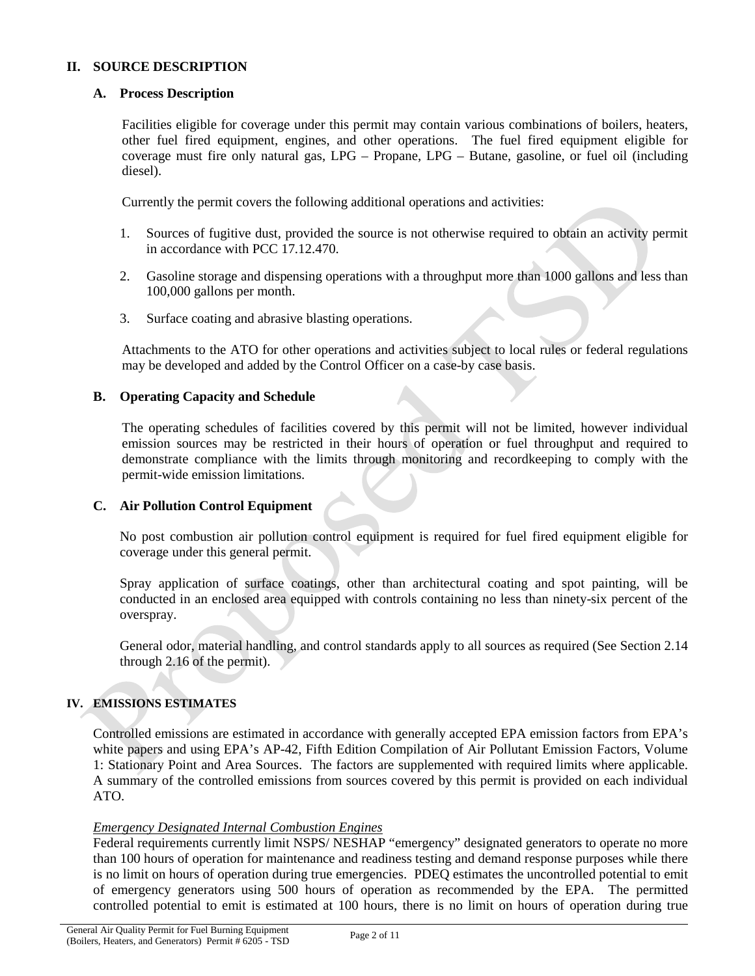### **II. SOURCE DESCRIPTION**

### **A. Process Description**

Facilities eligible for coverage under this permit may contain various combinations of boilers, heaters, other fuel fired equipment, engines, and other operations. The fuel fired equipment eligible for coverage must fire only natural gas, LPG – Propane, LPG – Butane, gasoline, or fuel oil (including diesel).

Currently the permit covers the following additional operations and activities:

- 1. Sources of fugitive dust, provided the source is not otherwise required to obtain an activity permit in accordance with PCC 17.12.470.
- 2. Gasoline storage and dispensing operations with a throughput more than 1000 gallons and less than 100,000 gallons per month.
- 3. Surface coating and abrasive blasting operations.

Attachments to the ATO for other operations and activities subject to local rules or federal regulations may be developed and added by the Control Officer on a case-by case basis.

### **B. Operating Capacity and Schedule**

The operating schedules of facilities covered by this permit will not be limited, however individual emission sources may be restricted in their hours of operation or fuel throughput and required to demonstrate compliance with the limits through monitoring and recordkeeping to comply with the permit-wide emission limitations.

## **C. Air Pollution Control Equipment**

No post combustion air pollution control equipment is required for fuel fired equipment eligible for coverage under this general permit.

Spray application of surface coatings, other than architectural coating and spot painting, will be conducted in an enclosed area equipped with controls containing no less than ninety-six percent of the overspray.

General odor, material handling, and control standards apply to all sources as required (See Section 2.14 through 2.16 of the permit).

#### **IV. EMISSIONS ESTIMATES**

Controlled emissions are estimated in accordance with generally accepted EPA emission factors from EPA's white papers and using EPA's AP-42, Fifth Edition Compilation of Air Pollutant Emission Factors, Volume 1: Stationary Point and Area Sources. The factors are supplemented with required limits where applicable. A summary of the controlled emissions from sources covered by this permit is provided on each individual ATO.

#### *Emergency Designated Internal Combustion Engines*

Federal requirements currently limit NSPS/ NESHAP "emergency" designated generators to operate no more than 100 hours of operation for maintenance and readiness testing and demand response purposes while there is no limit on hours of operation during true emergencies. PDEQ estimates the uncontrolled potential to emit of emergency generators using 500 hours of operation as recommended by the EPA. The permitted controlled potential to emit is estimated at 100 hours, there is no limit on hours of operation during true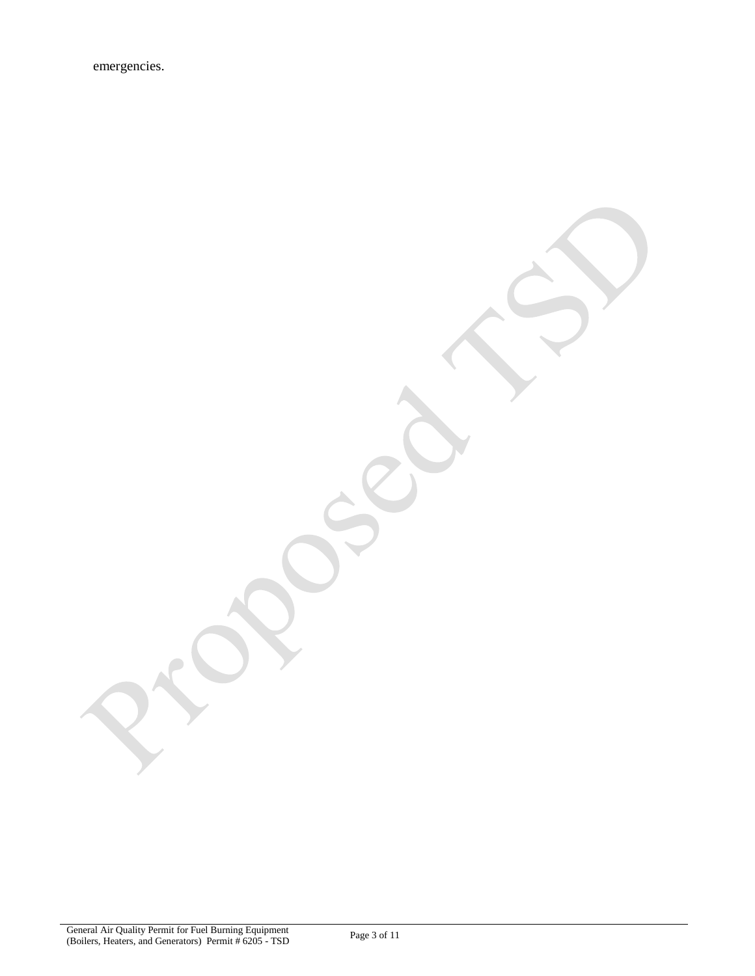emergencies.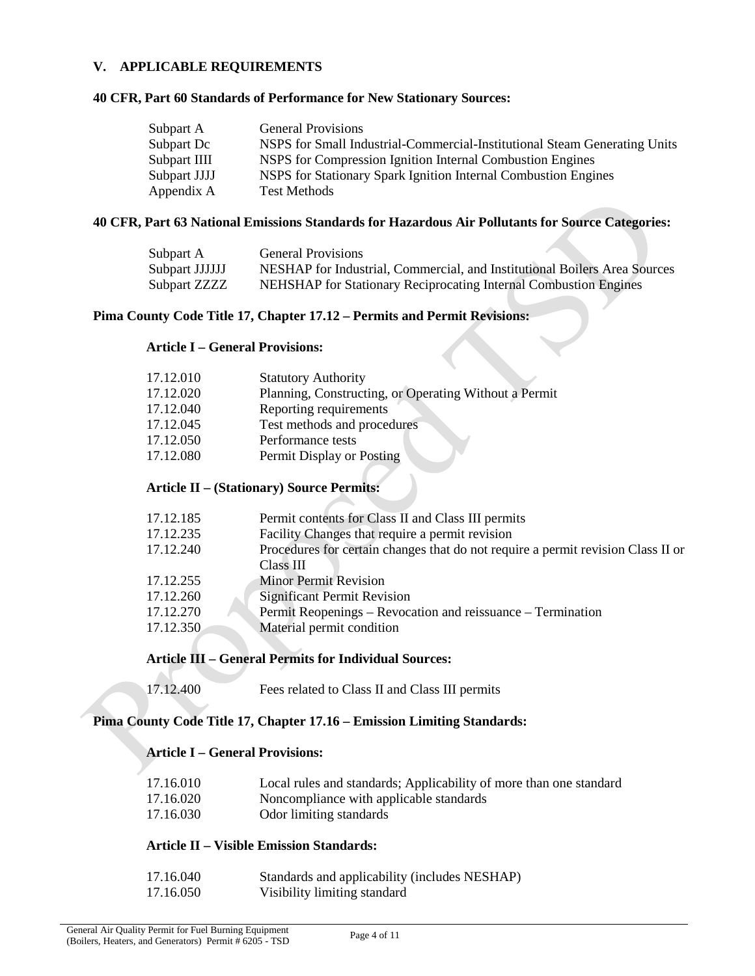### **V. APPLICABLE REQUIREMENTS**

#### **40 CFR, Part 60 Standards of Performance for New Stationary Sources:**

| Subpart A    | <b>General Provisions</b>                                                 |
|--------------|---------------------------------------------------------------------------|
| Subpart Dc   | NSPS for Small Industrial-Commercial-Institutional Steam Generating Units |
| Subpart IIII | NSPS for Compression Ignition Internal Combustion Engines                 |
| Subpart JJJJ | NSPS for Stationary Spark Ignition Internal Combustion Engines            |
| Appendix A   | <b>Test Methods</b>                                                       |

### **40 CFR, Part 63 National Emissions Standards for Hazardous Air Pollutants for Source Categories:**

| Subpart A      | General Provisions                                                        |
|----------------|---------------------------------------------------------------------------|
| Subpart JJJJJJ | NESHAP for Industrial, Commercial, and Institutional Boilers Area Sources |
| Subpart ZZZZ   | <b>NEHSHAP</b> for Stationary Reciprocating Internal Combustion Engines   |

### **Pima County Code Title 17, Chapter 17.12 – Permits and Permit Revisions:**

## **Article I – General Provisions:**

| 17.12.010 | <b>Statutory Authority</b>                            |
|-----------|-------------------------------------------------------|
| 17.12.020 | Planning, Constructing, or Operating Without a Permit |
| 17.12.040 | Reporting requirements                                |
| 17.12.045 | Test methods and procedures                           |
| 17.12.050 | Performance tests                                     |
| 17.12.080 | Permit Display or Posting                             |
|           |                                                       |

## **Article II – (Stationary) Source Permits:**

| 17.12.185 | Permit contents for Class II and Class III permits                               |
|-----------|----------------------------------------------------------------------------------|
| 17.12.235 | Facility Changes that require a permit revision                                  |
| 17.12.240 | Procedures for certain changes that do not require a permit revision Class II or |
|           | Class III                                                                        |
| 17.12.255 | <b>Minor Permit Revision</b>                                                     |
| 17.12.260 | <b>Significant Permit Revision</b>                                               |
| 17.12.270 | Permit Reopenings – Revocation and reissuance – Termination                      |
| 17.12.350 | Material permit condition                                                        |
|           |                                                                                  |

### **Article III – General Permits for Individual Sources:**

| 17.12.400 |  |  | Fees related to Class II and Class III permits |
|-----------|--|--|------------------------------------------------|
|-----------|--|--|------------------------------------------------|

# **Pima County Code Title 17, Chapter 17.16 – Emission Limiting Standards:**

# **Article I – General Provisions:**

| 17.16.010 | Local rules and standards; Applicability of more than one standard |
|-----------|--------------------------------------------------------------------|
| 17.16.020 | Noncompliance with applicable standards                            |
| 17.16.030 | Odor limiting standards                                            |

## **Article II – Visible Emission Standards:**

| 17.16.040 | Standards and applicability (includes NESHAP) |
|-----------|-----------------------------------------------|
| 17.16.050 | Visibility limiting standard                  |

 $\triangle$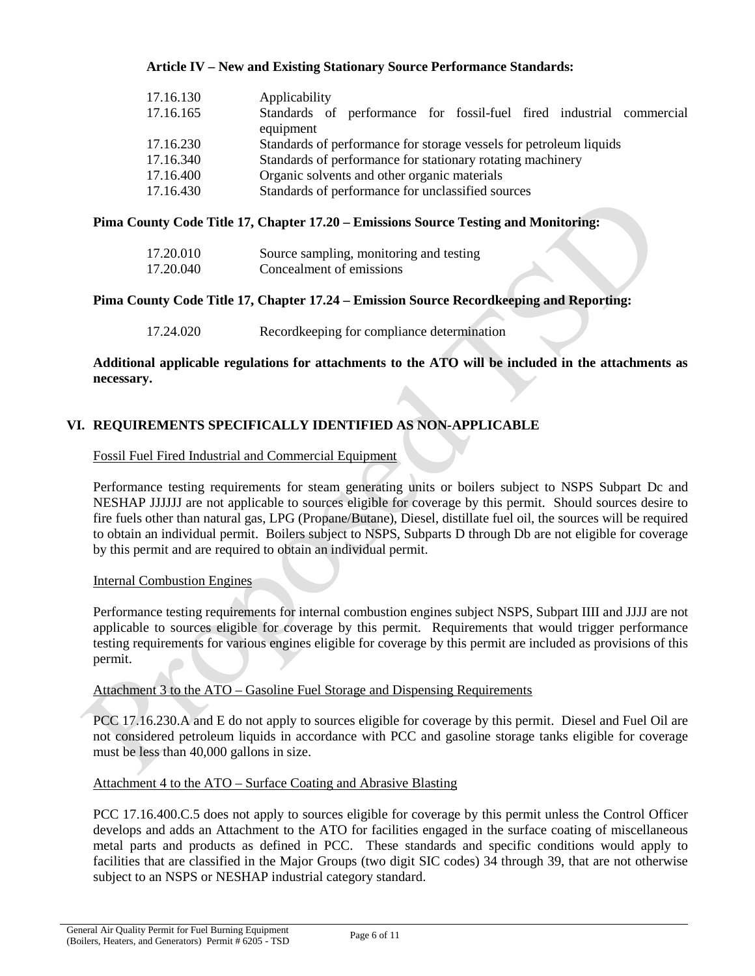### **Article IV – New and Existing Stationary Source Performance Standards:**

| 17.16.130 | Applicability                                                        |
|-----------|----------------------------------------------------------------------|
| 17.16.165 | Standards of performance for fossil-fuel fired industrial commercial |
|           | equipment                                                            |
| 17.16.230 | Standards of performance for storage vessels for petroleum liquids   |
| 17.16.340 | Standards of performance for stationary rotating machinery           |
| 17.16.400 | Organic solvents and other organic materials                         |
| 17.16.430 | Standards of performance for unclassified sources                    |

### **Pima County Code Title 17, Chapter 17.20 – Emissions Source Testing and Monitoring:**

| 17.20.010 | Source sampling, monitoring and testing |
|-----------|-----------------------------------------|
| 17.20.040 | Concealment of emissions                |

### **Pima County Code Title 17, Chapter 17.24 – Emission Source Recordkeeping and Reporting:**

17.24.020 Recordkeeping for compliance determination

### **Additional applicable regulations for attachments to the ATO will be included in the attachments as necessary.**

## **VI. REQUIREMENTS SPECIFICALLY IDENTIFIED AS NON-APPLICABLE**

#### Fossil Fuel Fired Industrial and Commercial Equipment

Performance testing requirements for steam generating units or boilers subject to NSPS Subpart Dc and NESHAP JJJJJJ are not applicable to sources eligible for coverage by this permit. Should sources desire to fire fuels other than natural gas, LPG (Propane/Butane), Diesel, distillate fuel oil, the sources will be required to obtain an individual permit. Boilers subject to NSPS, Subparts D through Db are not eligible for coverage by this permit and are required to obtain an individual permit.

#### Internal Combustion Engines

Performance testing requirements for internal combustion engines subject NSPS, Subpart IIII and JJJJ are not applicable to sources eligible for coverage by this permit. Requirements that would trigger performance testing requirements for various engines eligible for coverage by this permit are included as provisions of this permit.

#### Attachment 3 to the ATO – Gasoline Fuel Storage and Dispensing Requirements

PCC 17.16.230.A and E do not apply to sources eligible for coverage by this permit. Diesel and Fuel Oil are not considered petroleum liquids in accordance with PCC and gasoline storage tanks eligible for coverage must be less than 40,000 gallons in size.

#### Attachment 4 to the ATO – Surface Coating and Abrasive Blasting

PCC 17.16.400.C.5 does not apply to sources eligible for coverage by this permit unless the Control Officer develops and adds an Attachment to the ATO for facilities engaged in the surface coating of miscellaneous metal parts and products as defined in PCC. These standards and specific conditions would apply to facilities that are classified in the Major Groups (two digit SIC codes) 34 through 39, that are not otherwise subject to an NSPS or NESHAP industrial category standard.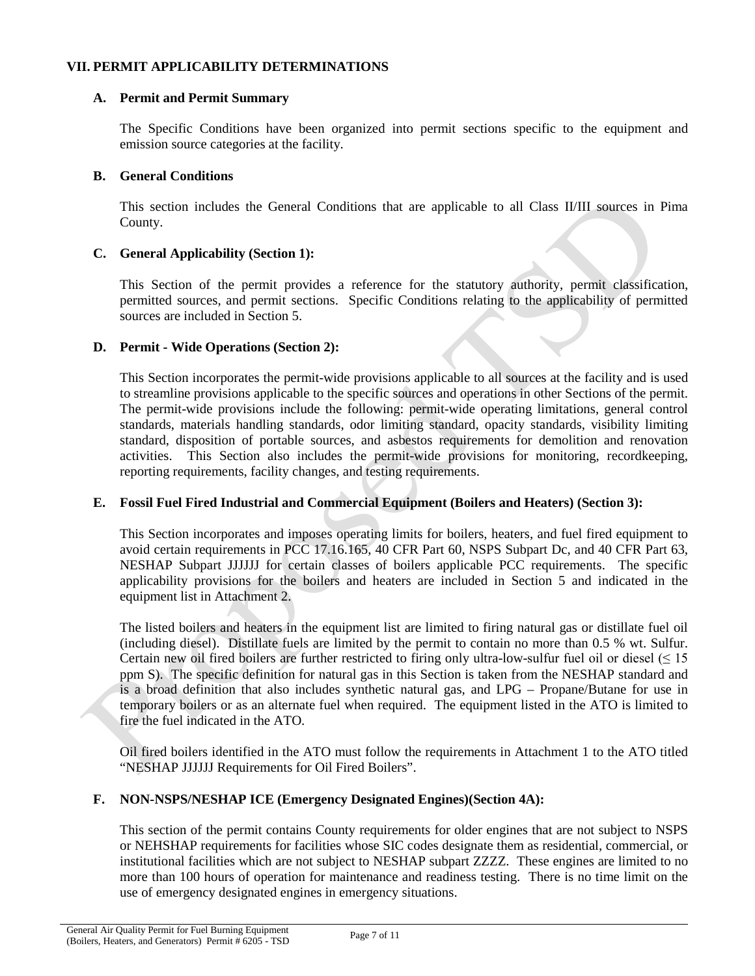### **VII. PERMIT APPLICABILITY DETERMINATIONS**

### **A. Permit and Permit Summary**

The Specific Conditions have been organized into permit sections specific to the equipment and emission source categories at the facility.

### **B. General Conditions**

This section includes the General Conditions that are applicable to all Class II/III sources in Pima County.

## **C. General Applicability (Section 1):**

This Section of the permit provides a reference for the statutory authority, permit classification, permitted sources, and permit sections. Specific Conditions relating to the applicability of permitted sources are included in Section 5.

### **D. Permit - Wide Operations (Section 2):**

This Section incorporates the permit-wide provisions applicable to all sources at the facility and is used to streamline provisions applicable to the specific sources and operations in other Sections of the permit. The permit-wide provisions include the following: permit-wide operating limitations, general control standards, materials handling standards, odor limiting standard, opacity standards, visibility limiting standard, disposition of portable sources, and asbestos requirements for demolition and renovation activities. This Section also includes the permit-wide provisions for monitoring, recordkeeping, reporting requirements, facility changes, and testing requirements.

## **E. Fossil Fuel Fired Industrial and Commercial Equipment (Boilers and Heaters) (Section 3):**

This Section incorporates and imposes operating limits for boilers, heaters, and fuel fired equipment to avoid certain requirements in PCC 17.16.165, 40 CFR Part 60, NSPS Subpart Dc, and 40 CFR Part 63, NESHAP Subpart JJJJJJ for certain classes of boilers applicable PCC requirements. The specific applicability provisions for the boilers and heaters are included in Section 5 and indicated in the equipment list in Attachment 2.

The listed boilers and heaters in the equipment list are limited to firing natural gas or distillate fuel oil (including diesel). Distillate fuels are limited by the permit to contain no more than 0.5 % wt. Sulfur. Certain new oil fired boilers are further restricted to firing only ultra-low-sulfur fuel oil or diesel  $($   $\leq$  15 ppm S). The specific definition for natural gas in this Section is taken from the NESHAP standard and is a broad definition that also includes synthetic natural gas, and LPG – Propane/Butane for use in temporary boilers or as an alternate fuel when required. The equipment listed in the ATO is limited to fire the fuel indicated in the ATO.

Oil fired boilers identified in the ATO must follow the requirements in Attachment 1 to the ATO titled "NESHAP JJJJJJ Requirements for Oil Fired Boilers".

## **F. NON-NSPS/NESHAP ICE (Emergency Designated Engines)(Section 4A):**

This section of the permit contains County requirements for older engines that are not subject to NSPS or NEHSHAP requirements for facilities whose SIC codes designate them as residential, commercial, or institutional facilities which are not subject to NESHAP subpart ZZZZ. These engines are limited to no more than 100 hours of operation for maintenance and readiness testing. There is no time limit on the use of emergency designated engines in emergency situations.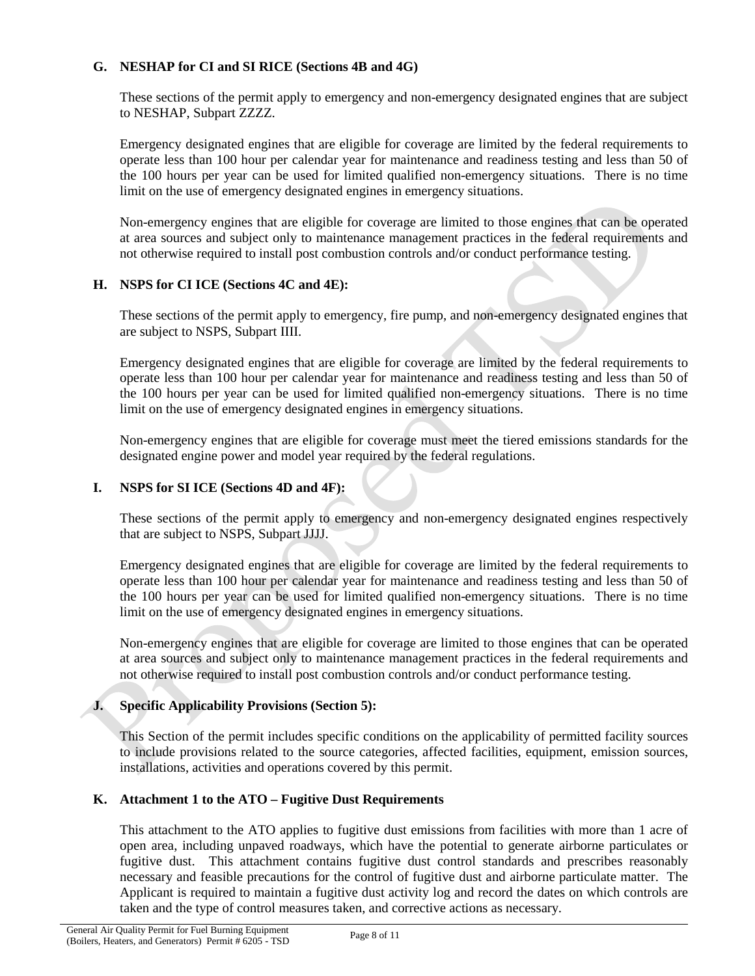## **G. NESHAP for CI and SI RICE (Sections 4B and 4G)**

These sections of the permit apply to emergency and non-emergency designated engines that are subject to NESHAP, Subpart ZZZZ.

Emergency designated engines that are eligible for coverage are limited by the federal requirements to operate less than 100 hour per calendar year for maintenance and readiness testing and less than 50 of the 100 hours per year can be used for limited qualified non-emergency situations. There is no time limit on the use of emergency designated engines in emergency situations.

Non-emergency engines that are eligible for coverage are limited to those engines that can be operated at area sources and subject only to maintenance management practices in the federal requirements and not otherwise required to install post combustion controls and/or conduct performance testing.

# **H. NSPS for CI ICE (Sections 4C and 4E):**

These sections of the permit apply to emergency, fire pump, and non-emergency designated engines that are subject to NSPS, Subpart IIII.

Emergency designated engines that are eligible for coverage are limited by the federal requirements to operate less than 100 hour per calendar year for maintenance and readiness testing and less than 50 of the 100 hours per year can be used for limited qualified non-emergency situations. There is no time limit on the use of emergency designated engines in emergency situations.

Non-emergency engines that are eligible for coverage must meet the tiered emissions standards for the designated engine power and model year required by the federal regulations.

# **I. NSPS for SI ICE (Sections 4D and 4F):**

These sections of the permit apply to emergency and non-emergency designated engines respectively that are subject to NSPS, Subpart JJJJ.

Emergency designated engines that are eligible for coverage are limited by the federal requirements to operate less than 100 hour per calendar year for maintenance and readiness testing and less than 50 of the 100 hours per year can be used for limited qualified non-emergency situations. There is no time limit on the use of emergency designated engines in emergency situations.

Non-emergency engines that are eligible for coverage are limited to those engines that can be operated at area sources and subject only to maintenance management practices in the federal requirements and not otherwise required to install post combustion controls and/or conduct performance testing.

# **J. Specific Applicability Provisions (Section 5):**

This Section of the permit includes specific conditions on the applicability of permitted facility sources to include provisions related to the source categories, affected facilities, equipment, emission sources, installations, activities and operations covered by this permit.

## **K. Attachment 1 to the ATO – Fugitive Dust Requirements**

This attachment to the ATO applies to fugitive dust emissions from facilities with more than 1 acre of open area, including unpaved roadways, which have the potential to generate airborne particulates or fugitive dust. This attachment contains fugitive dust control standards and prescribes reasonably necessary and feasible precautions for the control of fugitive dust and airborne particulate matter. The Applicant is required to maintain a fugitive dust activity log and record the dates on which controls are taken and the type of control measures taken, and corrective actions as necessary.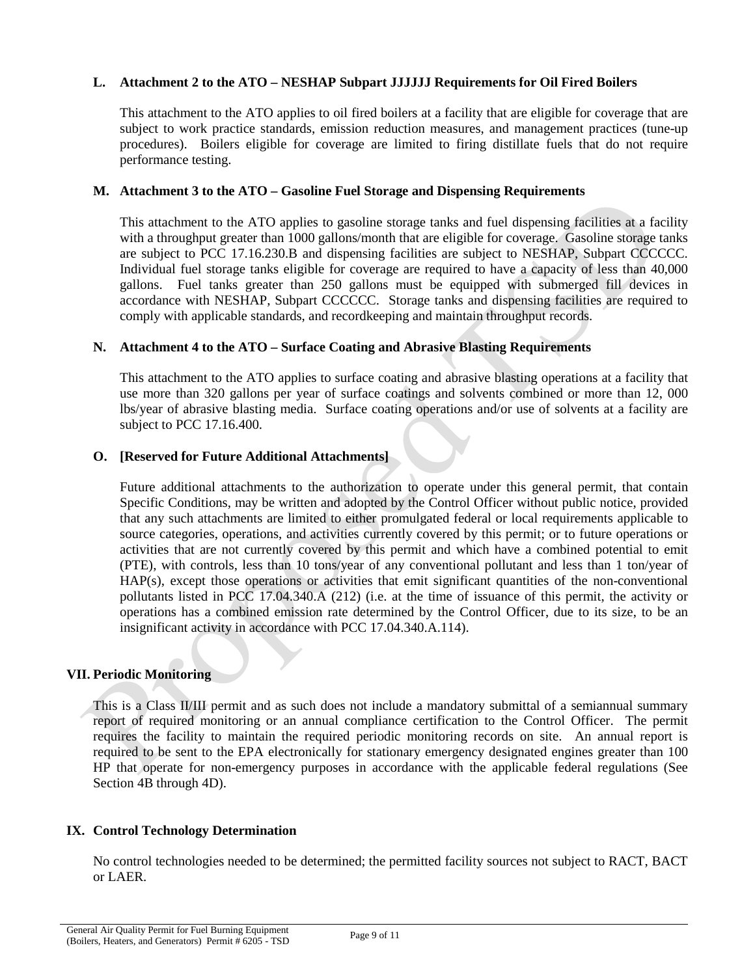## **L. Attachment 2 to the ATO – NESHAP Subpart JJJJJJ Requirements for Oil Fired Boilers**

This attachment to the ATO applies to oil fired boilers at a facility that are eligible for coverage that are subject to work practice standards, emission reduction measures, and management practices (tune-up procedures). Boilers eligible for coverage are limited to firing distillate fuels that do not require performance testing.

#### **M. Attachment 3 to the ATO – Gasoline Fuel Storage and Dispensing Requirements**

This attachment to the ATO applies to gasoline storage tanks and fuel dispensing facilities at a facility with a throughput greater than 1000 gallons/month that are eligible for coverage. Gasoline storage tanks are subject to PCC 17.16.230.B and dispensing facilities are subject to NESHAP, Subpart CCCCCC. Individual fuel storage tanks eligible for coverage are required to have a capacity of less than 40,000 gallons. Fuel tanks greater than 250 gallons must be equipped with submerged fill devices in accordance with NESHAP, Subpart CCCCCC. Storage tanks and dispensing facilities are required to comply with applicable standards, and recordkeeping and maintain throughput records.

### **N. Attachment 4 to the ATO – Surface Coating and Abrasive Blasting Requirements**

This attachment to the ATO applies to surface coating and abrasive blasting operations at a facility that use more than 320 gallons per year of surface coatings and solvents combined or more than 12, 000 lbs/year of abrasive blasting media. Surface coating operations and/or use of solvents at a facility are subject to PCC 17.16.400.

#### **O. [Reserved for Future Additional Attachments]**

Future additional attachments to the authorization to operate under this general permit, that contain Specific Conditions, may be written and adopted by the Control Officer without public notice, provided that any such attachments are limited to either promulgated federal or local requirements applicable to source categories, operations, and activities currently covered by this permit; or to future operations or activities that are not currently covered by this permit and which have a combined potential to emit (PTE), with controls, less than 10 tons/year of any conventional pollutant and less than 1 ton/year of HAP(s), except those operations or activities that emit significant quantities of the non-conventional pollutants listed in PCC 17.04.340.A (212) (i.e. at the time of issuance of this permit, the activity or operations has a combined emission rate determined by the Control Officer, due to its size, to be an insignificant activity in accordance with PCC 17.04.340.A.114).

## **VII. Periodic Monitoring**

This is a Class II/III permit and as such does not include a mandatory submittal of a semiannual summary report of required monitoring or an annual compliance certification to the Control Officer. The permit requires the facility to maintain the required periodic monitoring records on site. An annual report is required to be sent to the EPA electronically for stationary emergency designated engines greater than 100 HP that operate for non-emergency purposes in accordance with the applicable federal regulations (See Section 4B through 4D).

## **IX. Control Technology Determination**

No control technologies needed to be determined; the permitted facility sources not subject to RACT, BACT or LAER.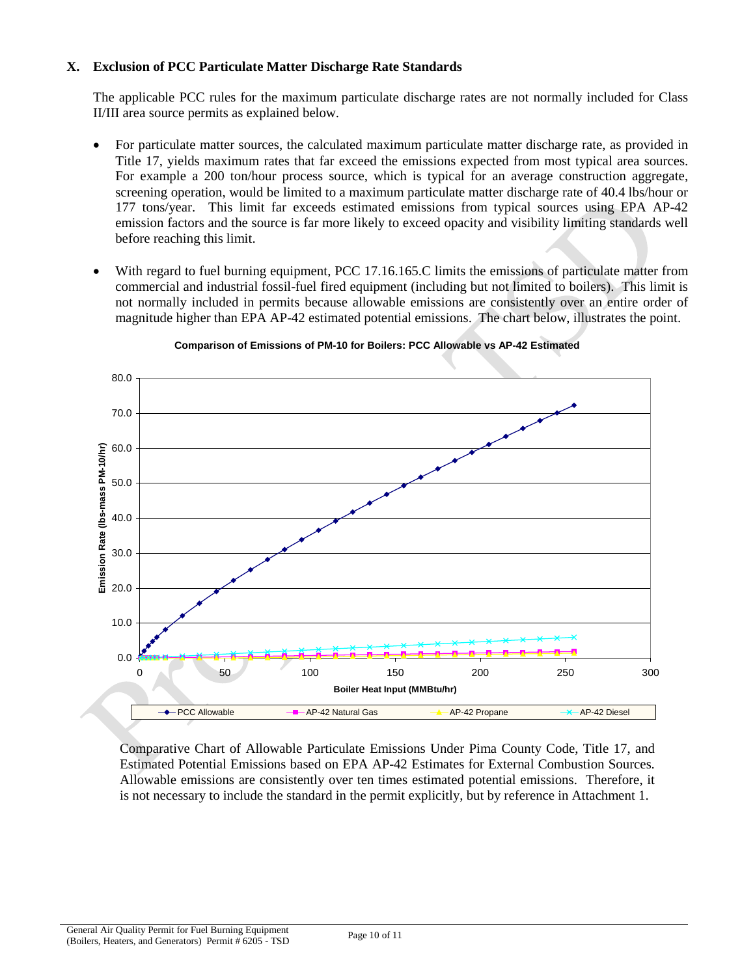## **X. Exclusion of PCC Particulate Matter Discharge Rate Standards**

The applicable PCC rules for the maximum particulate discharge rates are not normally included for Class II/III area source permits as explained below.

- For particulate matter sources, the calculated maximum particulate matter discharge rate, as provided in Title 17, yields maximum rates that far exceed the emissions expected from most typical area sources. For example a 200 ton/hour process source, which is typical for an average construction aggregate, screening operation, would be limited to a maximum particulate matter discharge rate of 40.4 lbs/hour or 177 tons/year. This limit far exceeds estimated emissions from typical sources using EPA AP-42 emission factors and the source is far more likely to exceed opacity and visibility limiting standards well before reaching this limit.
- With regard to fuel burning equipment, PCC 17.16.165.C limits the emissions of particulate matter from commercial and industrial fossil-fuel fired equipment (including but not limited to boilers). This limit is not normally included in permits because allowable emissions are consistently over an entire order of magnitude higher than EPA AP-42 estimated potential emissions. The chart below, illustrates the point.



#### **Comparison of Emissions of PM-10 for Boilers: PCC Allowable vs AP-42 Estimated**

Comparative Chart of Allowable Particulate Emissions Under Pima County Code, Title 17, and Estimated Potential Emissions based on EPA AP-42 Estimates for External Combustion Sources. Allowable emissions are consistently over ten times estimated potential emissions. Therefore, it is not necessary to include the standard in the permit explicitly, but by reference in Attachment 1.